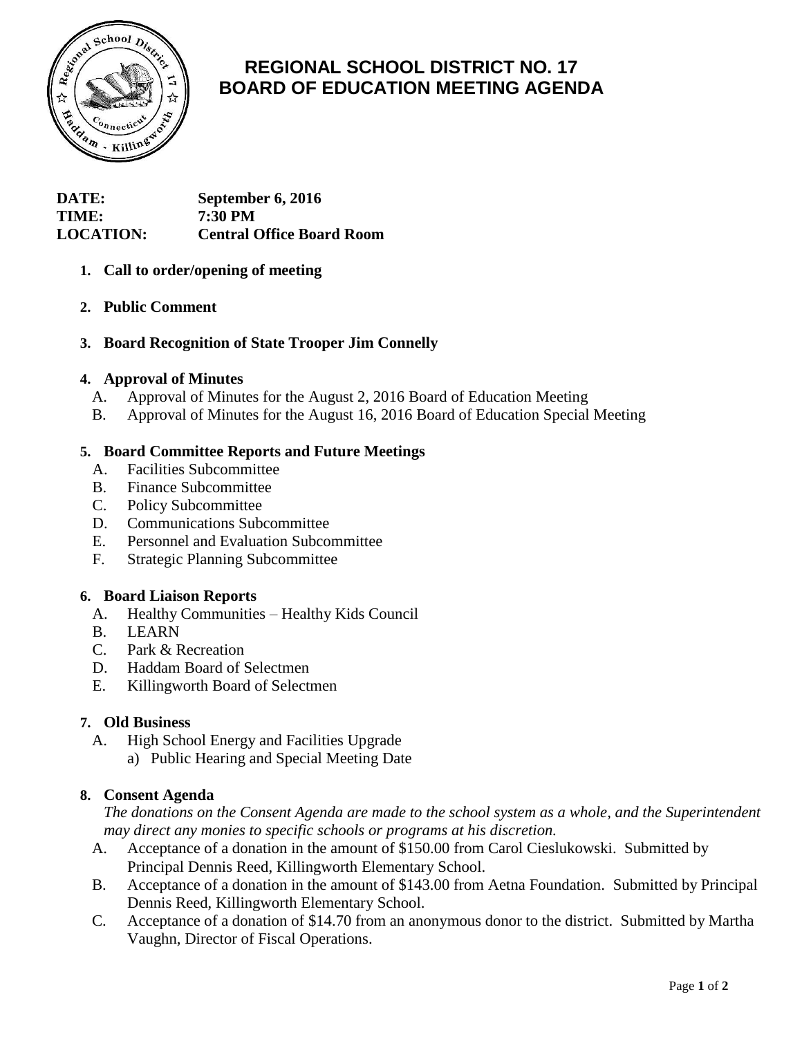

# **REGIONAL SCHOOL DISTRICT NO. 17 BOARD OF EDUCATION MEETING AGENDA**

| <b>DATE:</b>     | September 6, 2016                |
|------------------|----------------------------------|
| <b>TIME:</b>     | <b>7:30 PM</b>                   |
| <b>LOCATION:</b> | <b>Central Office Board Room</b> |

# **1. Call to order/opening of meeting**

# **2. Public Comment**

# **3. Board Recognition of State Trooper Jim Connelly**

### **4. Approval of Minutes**

- A. Approval of Minutes for the August 2, 2016 Board of Education Meeting
- B. Approval of Minutes for the August 16, 2016 Board of Education Special Meeting

### **5. Board Committee Reports and Future Meetings**

- A. Facilities Subcommittee
- B. Finance Subcommittee
- C. Policy Subcommittee
- D. Communications Subcommittee
- E. Personnel and Evaluation Subcommittee
- F. Strategic Planning Subcommittee

#### **6. Board Liaison Reports**

- A. Healthy Communities Healthy Kids Council
- B. LEARN
- C. Park & Recreation
- D. Haddam Board of Selectmen
- E. Killingworth Board of Selectmen

### **7. Old Business**

- A. High School Energy and Facilities Upgrade
	- a) Public Hearing and Special Meeting Date

#### **8. Consent Agenda**

*The donations on the Consent Agenda are made to the school system as a whole, and the Superintendent may direct any monies to specific schools or programs at his discretion.*

- A. Acceptance of a donation in the amount of \$150.00 from Carol Cieslukowski. Submitted by Principal Dennis Reed, Killingworth Elementary School.
- B. Acceptance of a donation in the amount of \$143.00 from Aetna Foundation. Submitted by Principal Dennis Reed, Killingworth Elementary School.
- C. Acceptance of a donation of \$14.70 from an anonymous donor to the district. Submitted by Martha Vaughn, Director of Fiscal Operations.